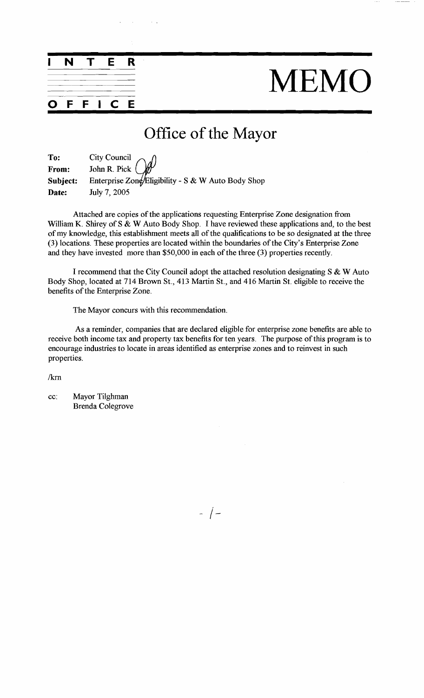# MEMO

-

## Office of the Mayor

| To:      |                                                    |
|----------|----------------------------------------------------|
| From:    | City Council $\mathcal{O}(\mathcal{P})$            |
| Subject: | Enterprise Zone/Eligibility - S & W Auto Body Shop |
| Date:    | July 7, 2005                                       |

Attached are copies of the applications requesting Enterprise Zone designation fiom William K. Shirey of S & W Auto Body Shop. I have reviewed these applications and, to the best of my knowledge, this establishment meets all of the qualifications to be so designated at the three (3) locations. These properties are located within the boundaries of the City's Enterprise Zone and they have invested more than \$50,000 in each of the three (3) properties recently.

I recommend that the City Council adopt the attached resolution designating S & W Auto Body Shop, located at 714 Brown St., 413 Martin St., and 416 Martin St. eligible to receive the benefits of the Enterprise Zone.

The Mayor concurs with this recommendation.

As a reminder, companies that are declared eligible for enterprise zone benefits are able to receive both income tax and property tax benefits for ten years. The purpose of this program is to encourage industries to locate in areas identified as enterprise zones and to reinvest in such properties.

/km

cc: Mayor Tilghman Brenda Colegrove

**INTER** 

**OFFICE** 

 $-$  /  $-$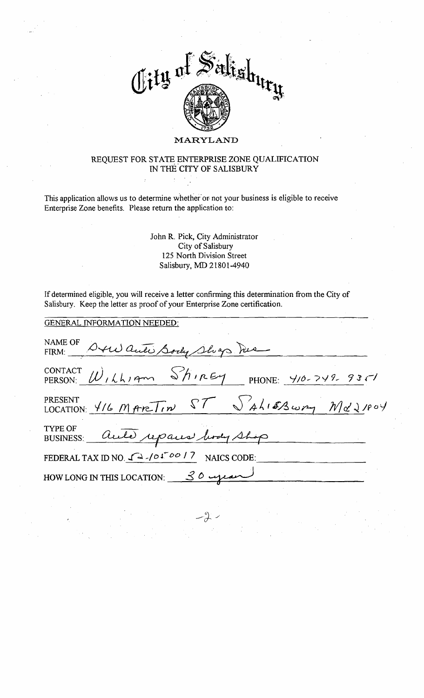

#### **MARYLAND**

### REQUEST FOR STATE ENTERPRISE ZONE QUALIFICATION **TN** THE'CITY OF SALISBURY

This application allows us to determine whether or not your business is eligible to receive Enterprise Zone benefits. Please return the application to:

> John R. Pick, City Administrator City of Salisbury 125 North Division Street Salisbury, MD 2 1801 -4940

If determined eligible, you will receive a letter confirming this determination fiom the City of Salisbury. Keep the letter as proof of your Enterprise Zone certification.

| <b>GENERAL INFORMATION NEEDED:</b>                                    |
|-----------------------------------------------------------------------|
| NAME OF Oxew auto Sody Shops Me                                       |
| CONTACT $W_{1}$ (1, 1, 2 m Shirey PHONE: 410-749-935)                 |
| PRESENT<br>LOCATION: 416 MARTIN ST SALISSWAY Md21804                  |
| TYPE OF BUSINESS: Auto repairs hody shop                              |
| FEDERAL TAX ID NO. $\sqrt{\Delta}$ -/01 <sup>600</sup> /7 NAICS CODE: |
| HOW LONG IN THIS LOCATION: 30 ujean                                   |
|                                                                       |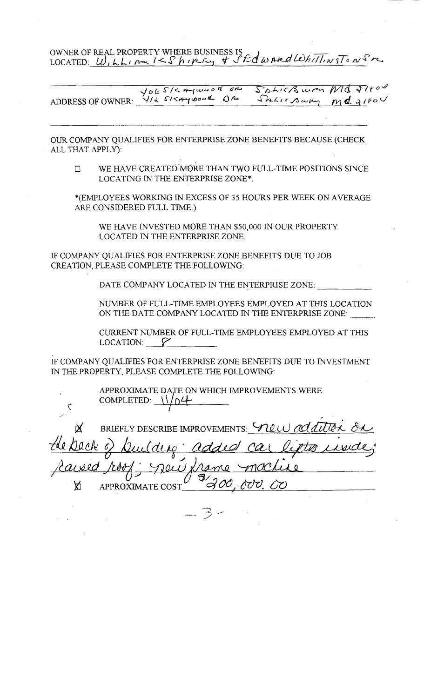OWNER OF REAL PROPERTY WHERE BUSINESS IS<br>LOCATED: <u>W, LL, Am /< S h, p</u>c.cy + S Ed w And Whittin T = n S r

YOGSKAYWOOD DR SALISBURG MB SALICAWN **ADDRESS OF OWNER:** 

OUR COMPANY QUALIFIES FOR ENTERPRISE ZONE BENEFITS BECAUSE (CHECK ALL THAT APPLY):

WE HAVE CREATED MORE THAN TWO FULL-TIME POSITIONS SINCE  $\Box$ LOCATING IN THE ENTERPRISE ZONE\*.

"(EMPLOYEES WORKING IN EXCESS OF *35* HOURS PER WEEK ON AVERAGE ARE CONSIDERED FULL TIME.)

WE HAVE INVESTED MORE THAN *\$50,000* IN OUR PROPERTY LOCATED IN THE ENTERPRISE ZONE.

LF COMPANY QUALIFIES FOR ENTERPRISE ZONE BENEFITS DUE TO JOB CREATION, PLEASE COMPLETE THE FOLLOWING:

DATE COMPANY LOCATED IN THE ENTERPRISE ZONE:

NUMBER OF FULL-TIME EMPLOYEES EMPLOYED AT THIS LOCATION ON THE DATE COMPANY LOCATED IN THE ENTERPRISE ZONE:

CURRENT NUMBER OF FULL-TIME EMPLOYEES EMPLOYED AT THIS  $\mathcal{L}$  DCATION:  $\mathcal{V}$ 

IF COMPANY QUALIFIES FOR ENTERPRISE ZONE BENEFITS DUE TO INVESTMENT IN THE PROPERTY, PLEASE COMPLETE THE FOLLOWING:

APPROXIMATE DATE ON WHICH IMPROVEMENTS WERE APPROXIMATE DATE ON WHIC<br>COMPLETED:  $\sqrt{0.4}$ 

 $\mathbf{\tilde{c}}$ 

BRIEFLY DESCRIBE IMPROVEMENTS: VILLU ad <u>jeu fra</u> APPROXIMATE COST Ä,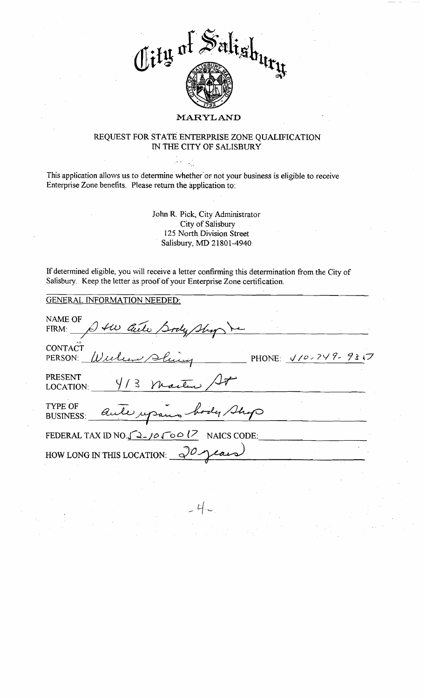

#### REQUEST FOR STATE ENTERPRISE ZONE QUALIFICATION IN THE CITY OF SALISBURY

This application allows us to determine whether or not your business is eligible to receive Enterprise Zone benefits. Please return the application to:

in g

John R. Pick, City Administrator City of Salisbury **<sup>2</sup>**25 North Division Street Salisbury, MD 21801-4940

If determined eligible, you will receive a letter confirming this determination from the City of Salisbury. Keep the letter as prcof of your Enterprise Zone certification.

| <b>GENERAL INFORMATION NEEDED:</b>                               |
|------------------------------------------------------------------|
| NAME OF<br>FIRM: A tw Cuite Sody Shop                            |
| <b>CONTACT</b><br>Wielen Sluin<br>PHONE: V/02749-931フ<br>PERSON: |
| <b>PRESENT</b><br>$4/3$ Martin / 4<br>LOCATION:                  |
| TYPE OF<br>aute upon body Shop<br><b>BUSINESS:</b>               |
| FEDERAL TAX ID NO. $\int 27\cos(7\theta) d\theta$ NAICS CODE:    |
| HOW LONG IN THIS LOCATION: $\sqrt{0}$                            |
|                                                                  |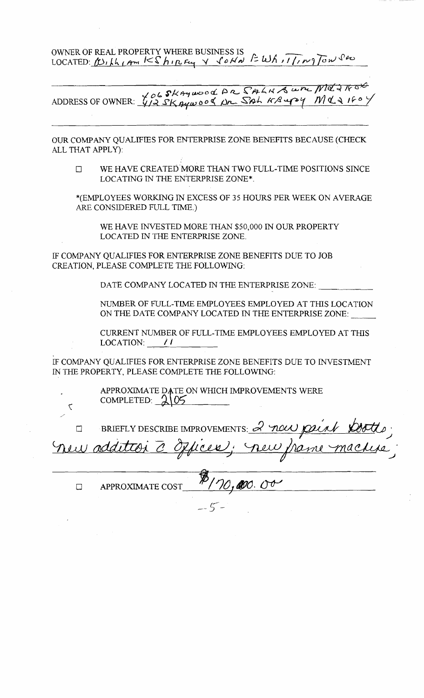OWNER OF REAL PROPERTY WHERE BUSINESS IS OWNER OF REAL PROPERTY WHERE BUSINESS IS<br>LOCATED: (U, LL, Am  $\frac{1}{5}$  ), I, Ety Y *SOHN*  $\frac{2}{3}$  Wh,  $\frac{7}{11}$ ,  $\frac{1}{10}$  Tow

*pkwcwod* **PL S;eLlxA U-**ADDRESS OF OWNER:  $\sqrt[1]{2}$  SK gywood pr Sah KR upy

OUR COMPANY QUALIFIES FOR ENTERPRISE ZONE BENEFITS BECAUSE (CHECK ALL THAT APPLY):

IJ WE HAVE CREATED MORE THAN TWO FULL-TIME POSITIONS SMCE LOCATING **IN** THE ENTERPRISE ZONE\*.

"(EMPLOYEES WORKING M EXCESS OF 35 HOURS PER WEEK ON AVERAGE ARE CONSIDERED FULL TIME.)

WE HAVE INVESTED MORE THAN \$50,000 IN OUR PROPERTY LOCATED IN THE ENTERPRISE ZONE.

IF COMPANY QUALIFIES FOR ENTERPRISE ZONE BENEFITS DUE TO JOB CREATION, PLEASE COMPLETE THE FOLLOWING:

DATE COMPANY LOCATED IN THE ENTERPRISE ZONE:

NUMBER OF FULL-TIME EMPLOYEES EMPLOYED AT THIS LOCATION ON THE DATE COWANY LOCATED IN THE ENTERPRISE ZONE:

CURRENT NUMBER OF FULL-TIME EMPLOYEES EMPLOYED AT THIS LOCATION:  $\frac{1}{4}$ 

IF COMPANY QUALIFIES FOR ENTERPRISE ZONE BENEFITS DUE TO INVESTMENT IN THE PROPERTY, PLEASE COMPLETE THE FOLLOWING:

> APPROXIMATE DATE ON WHICH IMPROVEMENTS WERE COMPLETED: **21%**

'i

BRIEFLY DESCRIBE IMPROVEMENTS: <u>2 new</u>  $\Box$ **J**  *I*  $\mathscr{A}$ .  $\Box$ APPROXIMATE COST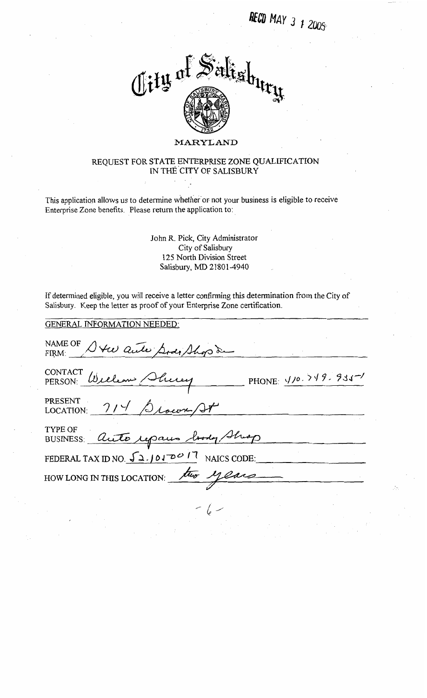**RECD** MAY 3 1 2005



#### REQUEST FOR STATE ENTERPRISE ZONE QUALIFICATION IN THE CITY OF SALISBURY

This application allows us to determine whether or not your business is eligible to receive Enterprise Zone benefits. Please return the application to:

> John R. Pick, City Administrator City of Salisbury 125 North Division Street Salisbury, MD 21801 -4940

If determined eligible, you will receive a letter confirming this determination from the City of

#### GENERAL INFORMATION NEEDED:

| Salisbury. Keep the letter as proof of your Enterprise Zone certification. |
|----------------------------------------------------------------------------|
| <b>GENERAL INFORMATION NEEDED:</b>                                         |
| NAME OF Steel auto Sody Shop de                                            |
| CONTACT William Shirry<br>PHONE: $1/0.719.931^{-1}$                        |
| PRESENT<br>LOCATION: 714 Slower/27                                         |
| TYPE OF<br>BUSINESS auto repairs body Shiop                                |
| FEDERAL TAX ID NO. 52.1010017 NAICS CODE:                                  |
| HOW LONG IN THIS LOCATION: two years                                       |
|                                                                            |
|                                                                            |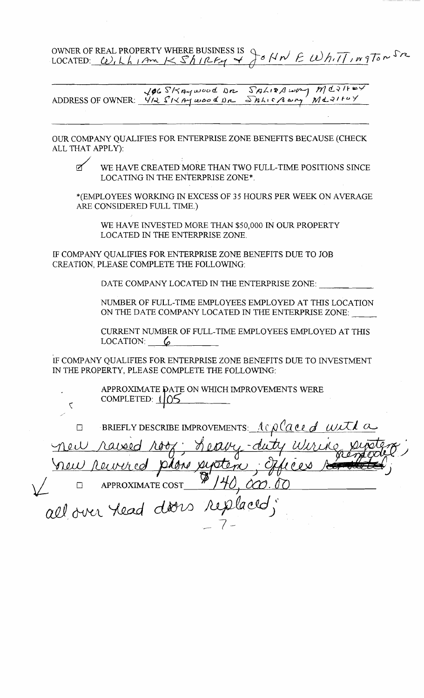OWNER OF REAL PROPERTY WHERE BUSINESS IS Q OWNER OF REAL PROPERTY WHERE BUSINESS IS<br>LOCATED: <u>W, L L I Am K S L I PLF4</u>  $P \circ \mathsf{N} \mathsf{n}' \in \mathsf{W} \mathsf{h} \cdot \overline{\mathsf{N}} \cdot \mathsf{m} \mathsf{g} \mathsf{T} \mathsf{o} \mathsf{n} \mathsf{P}$ 

 $MQ2H+$ ADDRESS OF OWNER:  $\sqrt{96}$  S/KAywood Dr. SALISA way MUS/F<sup>W</sup><br>ADDRESS OF OWNER:  $\sqrt{14}$  S/KAywood Dr. SALISA way MUS/F<sup>W</sup>Y

OUR COMPANY QUALTFIES FOR ENTERPRISE ZONE BENEFITS BECAUSE (CHECK ALL THAT APPLY):

 $\zeta$ 

D WE HAVE CREATED MORE THAN TWO FULL-TIME POSITIONS SINCE LOCATING IN THE ENTERPRISE ZONE<sup>\*</sup>.

\*(EMPLOYEES WORKING IN EXCESS OF *35* HOURS PER WEEK ON AVERAGE ARE CONSIDERED FULL TME.)

WE HAVE INVESTED MORE THAN *\$50,000 IN* OUR PROPERTY LOCATED IN THE ENTERPRISE ZONE.

LF COMPANY QUALIFIES FOR ENTERPRISE ZONE BENEFITS DUE TO JOB CREATION, PLEASE COMPLETE THE FOLLOWING:

DATE COMPANY LOCATED IN THE ENTERPRISE ZONE:

NUMBER OF FULL-TIME EMPLOYEES EMPLOYED AT THIS LOCATION ON THE DATE COMPANY LOCATED IN THE ENTERPRISE ZONE:

CURRENT NUMBER OF FULL-TIME EMPLOYEES EMPLOYED AT THIS LOCATION: **6** 

IF COMPANY QUALIFIES FOR ENTERPRISE ZONE BENEFITS DUE TO INVESTMENT IN THE PROPERTY, PLEASE COMPLETE THE FOLLOWING:

> APPROXIMATE DATE ON WHICH IMPROVEMENTS WERE COMPLETED: 105

El BRIEFLY DESCRIBE IMPROVEMENTS: <u>Ac place of wit</u> ada APPROXIMATE COST П replaced; all over head doors